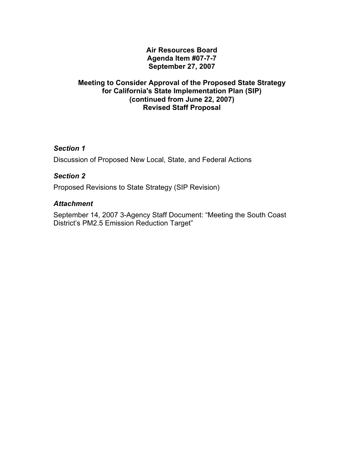### **Air Resources Board Agenda Item #07-7-7 September 27, 2007**

#### **Meeting to Consider Approval of the Proposed State Strategy for California's State Implementation Plan (SIP) (continued from June 22, 2007) Revised Staff Proposal**

## *Section 1*

Discussion of Proposed New Local, State, and Federal Actions

## *Section 2*

Proposed Revisions to State Strategy (SIP Revision)

## *Attachment*

September 14, 2007 3-Agency Staff Document: "Meeting the South Coast District's PM2.5 Emission Reduction Target"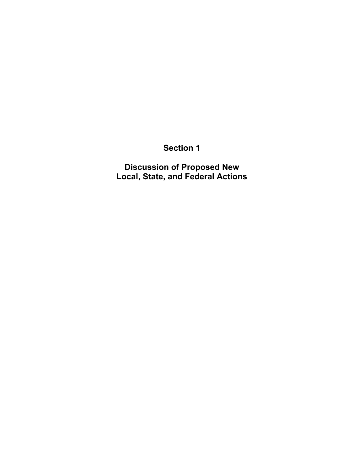# **Section 1**

**Discussion of Proposed New Local, State, and Federal Actions**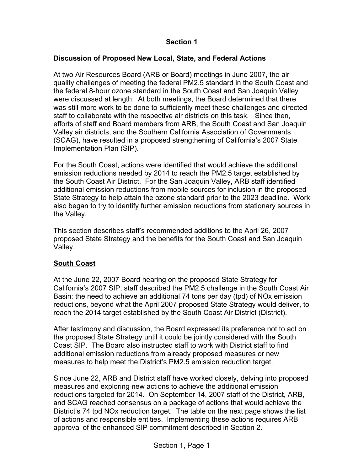## **Section 1**

#### **Discussion of Proposed New Local, State, and Federal Actions**

At two Air Resources Board (ARB or Board) meetings in June 2007, the air quality challenges of meeting the federal PM2.5 standard in the South Coast and the federal 8-hour ozone standard in the South Coast and San Joaquin Valley were discussed at length. At both meetings, the Board determined that there was still more work to be done to sufficiently meet these challenges and directed staff to collaborate with the respective air districts on this task. Since then, efforts of staff and Board members from ARB, the South Coast and San Joaquin Valley air districts, and the Southern California Association of Governments (SCAG), have resulted in a proposed strengthening of California's 2007 State Implementation Plan (SIP).

For the South Coast, actions were identified that would achieve the additional emission reductions needed by 2014 to reach the PM2.5 target established by the South Coast Air District. For the San Joaquin Valley, ARB staff identified additional emission reductions from mobile sources for inclusion in the proposed State Strategy to help attain the ozone standard prior to the 2023 deadline. Work also began to try to identify further emission reductions from stationary sources in the Valley.

This section describes staff's recommended additions to the April 26, 2007 proposed State Strategy and the benefits for the South Coast and San Joaquin Valley.

## **South Coast**

At the June 22, 2007 Board hearing on the proposed State Strategy for California's 2007 SIP, staff described the PM2.5 challenge in the South Coast Air Basin: the need to achieve an additional 74 tons per day (tpd) of NOx emission reductions, beyond what the April 2007 proposed State Strategy would deliver, to reach the 2014 target established by the South Coast Air District (District).

After testimony and discussion, the Board expressed its preference not to act on the proposed State Strategy until it could be jointly considered with the South Coast SIP. The Board also instructed staff to work with District staff to find additional emission reductions from already proposed measures or new measures to help meet the District's PM2.5 emission reduction target.

 of actions and responsible entities. Implementing these actions requires ARB Since June 22, ARB and District staff have worked closely, delving into proposed measures and exploring new actions to achieve the additional emission reductions targeted for 2014. On September 14, 2007 staff of the District, ARB, and SCAG reached consensus on a package of actions that would achieve the District's 74 tpd NOx reduction target. The table on the next page shows the list approval of the enhanced SIP commitment described in Section 2.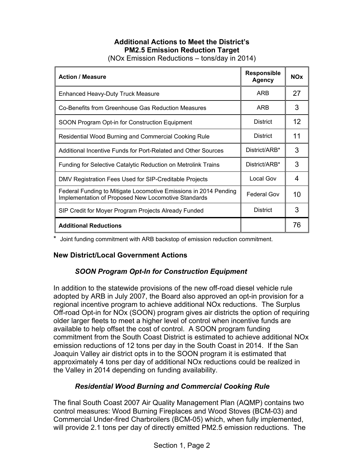## **Additional Actions to Meet the District's PM2.5 Emission Reduction Target**

(NOx Emission Reductions – tons/day in 2014)

| <b>Action / Measure</b>                                                                                                 | <b>Responsible</b><br>Agency | <b>NOx</b> |
|-------------------------------------------------------------------------------------------------------------------------|------------------------------|------------|
| <b>Enhanced Heavy-Duty Truck Measure</b>                                                                                | ARB                          | 27         |
| Co-Benefits from Greenhouse Gas Reduction Measures                                                                      | ARB                          | 3          |
| SOON Program Opt-in for Construction Equipment                                                                          | <b>District</b>              | 12         |
| Residential Wood Burning and Commercial Cooking Rule                                                                    | <b>District</b>              | 11         |
| Additional Incentive Funds for Port-Related and Other Sources                                                           | District/ARB*                | 3          |
| Funding for Selective Catalytic Reduction on Metrolink Trains                                                           | District/ARB*                | 3          |
| DMV Registration Fees Used for SIP-Creditable Projects                                                                  | Local Gov                    | 4          |
| Federal Funding to Mitigate Locomotive Emissions in 2014 Pending<br>Implementation of Proposed New Locomotive Standards | <b>Federal Gov</b>           | 10         |
| SIP Credit for Moyer Program Projects Already Funded                                                                    | <b>District</b>              | 3          |
| <b>Additional Reductions</b>                                                                                            |                              | 76         |

\* Joint funding commitment with ARB backstop of emission reduction commitment.

## **New District/Local Government Actions**

## *SOON Program Opt-In for Construction Equipment*

In addition to the statewide provisions of the new off-road diesel vehicle rule adopted by ARB in July 2007, the Board also approved an opt-in provision for a regional incentive program to achieve additional NOx reductions. The Surplus Off-road Opt-in for NOx (SOON) program gives air districts the option of requiring older larger fleets to meet a higher level of control when incentive funds are available to help offset the cost of control. A SOON program funding commitment from the South Coast District is estimated to achieve additional NOx emission reductions of 12 tons per day in the South Coast in 2014. If the San Joaquin Valley air district opts in to the SOON program it is estimated that approximately 4 tons per day of additional NOx reductions could be realized in the Valley in 2014 depending on funding availability.

## *Residential Wood Burning and Commercial Cooking Rule*

The final South Coast 2007 Air Quality Management Plan (AQMP) contains two control measures: Wood Burning Fireplaces and Wood Stoves (BCM-03) and Commercial Under-fired Charbroilers (BCM-05) which, when fully implemented, will provide 2.1 tons per day of directly emitted PM2.5 emission reductions. The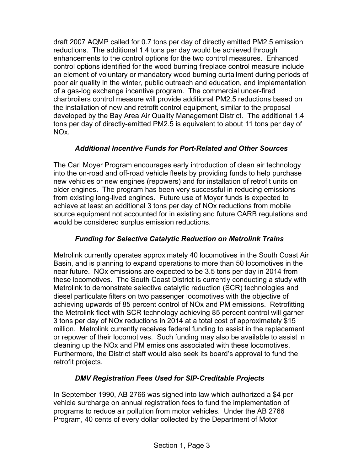draft 2007 AQMP called for 0.7 tons per day of directly emitted PM2.5 emission reductions. The additional 1.4 tons per day would be achieved through enhancements to the control options for the two control measures. Enhanced control options identified for the wood burning fireplace control measure include an element of voluntary or mandatory wood burning curtailment during periods of poor air quality in the winter, public outreach and education, and implementation of a gas-log exchange incentive program. The commercial under-fired charbroilers control measure will provide additional PM2.5 reductions based on the installation of new and retrofit control equipment, similar to the proposal developed by the Bay Area Air Quality Management District. The additional 1.4 tons per day of directly-emitted PM2.5 is equivalent to about 11 tons per day of NOx.

## *Additional Incentive Funds for Port-Related and Other Sources*

The Carl Moyer Program encourages early introduction of clean air technology into the on-road and off-road vehicle fleets by providing funds to help purchase new vehicles or new engines (repowers) and for installation of retrofit units on older engines. The program has been very successful in reducing emissions from existing long-lived engines. Future use of Moyer funds is expected to achieve at least an additional 3 tons per day of NOx reductions from mobile source equipment not accounted for in existing and future CARB regulations and would be considered surplus emission reductions.

## *Funding for Selective Catalytic Reduction on Metrolink Trains*

Metrolink currently operates approximately 40 locomotives in the South Coast Air Basin, and is planning to expand operations to more than 50 locomotives in the near future. NOx emissions are expected to be 3.5 tons per day in 2014 from these locomotives. The South Coast District is currently conducting a study with Metrolink to demonstrate selective catalytic reduction (SCR) technologies and diesel particulate filters on two passenger locomotives with the objective of achieving upwards of 85 percent control of NOx and PM emissions. Retrofitting the Metrolink fleet with SCR technology achieving 85 percent control will garner 3 tons per day of NOx reductions in 2014 at a total cost of approximately \$15 million. Metrolink currently receives federal funding to assist in the replacement or repower of their locomotives. Such funding may also be available to assist in cleaning up the NOx and PM emissions associated with these locomotives. Furthermore, the District staff would also seek its board's approval to fund the retrofit projects.

## *DMV Registration Fees Used for SIP-Creditable Projects*

In September 1990, AB 2766 was signed into law which authorized a \$4 per vehicle surcharge on annual registration fees to fund the implementation of programs to reduce air pollution from motor vehicles. Under the AB 2766 Program, 40 cents of every dollar collected by the Department of Motor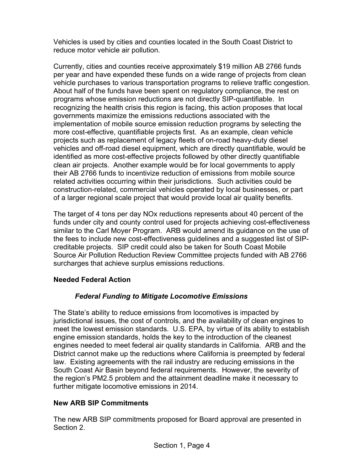Vehicles is used by cities and counties located in the South Coast District to reduce motor vehicle air pollution.

Currently, cities and counties receive approximately \$19 million AB 2766 funds per year and have expended these funds on a wide range of projects from clean vehicle purchases to various transportation programs to relieve traffic congestion. About half of the funds have been spent on regulatory compliance, the rest on programs whose emission reductions are not directly SIP-quantifiable. In recognizing the health crisis this region is facing, this action proposes that local governments maximize the emissions reductions associated with the implementation of mobile source emission reduction programs by selecting the more cost-effective, quantifiable projects first. As an example, clean vehicle projects such as replacement of legacy fleets of on-road heavy-duty diesel vehicles and off-road diesel equipment, which are directly quantifiable, would be identified as more cost-effective projects followed by other directly quantifiable clean air projects. Another example would be for local governments to apply their AB 2766 funds to incentivize reduction of emissions from mobile source related activities occurring within their jurisdictions. Such activities could be construction-related, commercial vehicles operated by local businesses, or part of a larger regional scale project that would provide local air quality benefits.

The target of 4 tons per day NOx reductions represents about 40 percent of the funds under city and county control used for projects achieving cost-effectiveness similar to the Carl Moyer Program. ARB would amend its guidance on the use of the fees to include new cost-effectiveness guidelines and a suggested list of SIPcreditable projects. SIP credit could also be taken for South Coast Mobile Source Air Pollution Reduction Review Committee projects funded with AB 2766 surcharges that achieve surplus emissions reductions.

## **Needed Federal Action**

## *Federal Funding to Mitigate Locomotive Emissions*

The State's ability to reduce emissions from locomotives is impacted by jurisdictional issues, the cost of controls, and the availability of clean engines to meet the lowest emission standards. U.S. EPA, by virtue of its ability to establish engine emission standards, holds the key to the introduction of the cleanest engines needed to meet federal air quality standards in California. ARB and the District cannot make up the reductions where California is preempted by federal law. Existing agreements with the rail industry are reducing emissions in the South Coast Air Basin beyond federal requirements. However, the severity of the region's PM2.5 problem and the attainment deadline make it necessary to further mitigate locomotive emissions in 2014.

## **New ARB SIP Commitments**

The new ARB SIP commitments proposed for Board approval are presented in Section 2.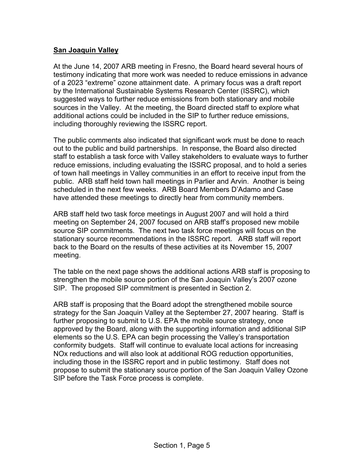## **San Joaquin Valley**

At the June 14, 2007 ARB meeting in Fresno, the Board heard several hours of testimony indicating that more work was needed to reduce emissions in advance of a 2023 "extreme" ozone attainment date. A primary focus was a draft report by the International Sustainable Systems Research Center (ISSRC), which suggested ways to further reduce emissions from both stationary and mobile sources in the Valley. At the meeting, the Board directed staff to explore what additional actions could be included in the SIP to further reduce emissions, including thoroughly reviewing the ISSRC report.

The public comments also indicated that significant work must be done to reach out to the public and build partnerships. In response, the Board also directed staff to establish a task force with Valley stakeholders to evaluate ways to further reduce emissions, including evaluating the ISSRC proposal, and to hold a series of town hall meetings in Valley communities in an effort to receive input from the public. ARB staff held town hall meetings in Parlier and Arvin. Another is being scheduled in the next few weeks. ARB Board Members D'Adamo and Case have attended these meetings to directly hear from community members.

ARB staff held two task force meetings in August 2007 and will hold a third meeting on September 24, 2007 focused on ARB staff's proposed new mobile source SIP commitments. The next two task force meetings will focus on the stationary source recommendations in the ISSRC report. ARB staff will report back to the Board on the results of these activities at its November 15, 2007 meeting.

The table on the next page shows the additional actions ARB staff is proposing to strengthen the mobile source portion of the San Joaquin Valley's 2007 ozone SIP. The proposed SIP commitment is presented in Section 2.

ARB staff is proposing that the Board adopt the strengthened mobile source strategy for the San Joaquin Valley at the September 27, 2007 hearing. Staff is further proposing to submit to U.S. EPA the mobile source strategy, once approved by the Board, along with the supporting information and additional SIP elements so the U.S. EPA can begin processing the Valley's transportation conformity budgets. Staff will continue to evaluate local actions for increasing NOx reductions and will also look at additional ROG reduction opportunities, including those in the ISSRC report and in public testimony. Staff does not propose to submit the stationary source portion of the San Joaquin Valley Ozone SIP before the Task Force process is complete.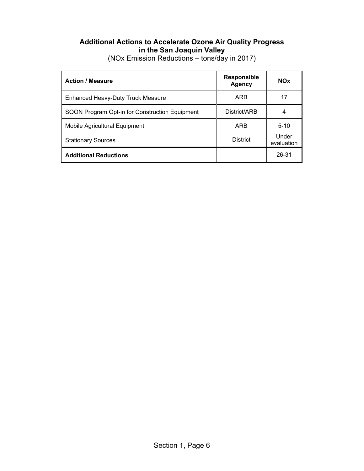## **Additional Actions to Accelerate Ozone Air Quality Progress in the San Joaquin Valley**

| <b>Action / Measure</b>                        | <b>Responsible</b><br><b>Agency</b> | <b>NOx</b>          |
|------------------------------------------------|-------------------------------------|---------------------|
| <b>Enhanced Heavy-Duty Truck Measure</b>       | ARB                                 | 17                  |
| SOON Program Opt-in for Construction Equipment | District/ARB                        | 4                   |
| Mobile Agricultural Equipment                  | ARB                                 | $5-10$              |
| <b>Stationary Sources</b>                      | <b>District</b>                     | Under<br>evaluation |
| <b>Additional Reductions</b>                   |                                     | 26-31               |

(NOx Emission Reductions – tons/day in 2017)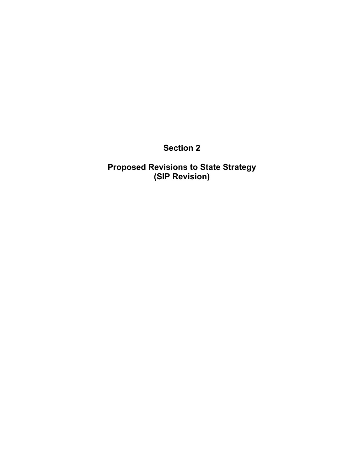**Section 2** 

**Proposed Revisions to State Strategy (SIP Revision)**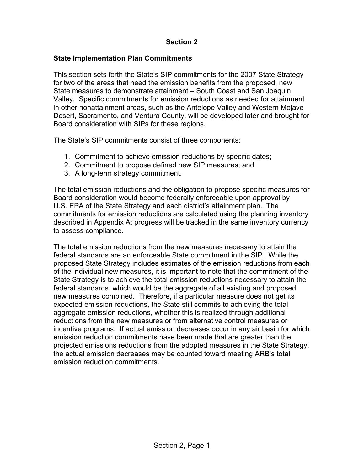## **Section 2**

### **State Implementation Plan Commitments**

This section sets forth the State's SIP commitments for the 2007 State Strategy for two of the areas that need the emission benefits from the proposed, new State measures to demonstrate attainment – South Coast and San Joaquin Valley. Specific commitments for emission reductions as needed for attainment in other nonattainment areas, such as the Antelope Valley and Western Mojave Desert, Sacramento, and Ventura County, will be developed later and brought for Board consideration with SIPs for these regions.

The State's SIP commitments consist of three components:

- 1. Commitment to achieve emission reductions by specific dates;
- 2. Commitment to propose defined new SIP measures; and
- 3. A long-term strategy commitment.

The total emission reductions and the obligation to propose specific measures for Board consideration would become federally enforceable upon approval by U.S. EPA of the State Strategy and each district's attainment plan. The commitments for emission reductions are calculated using the planning inventory described in Appendix A; progress will be tracked in the same inventory currency to assess compliance.

The total emission reductions from the new measures necessary to attain the federal standards are an enforceable State commitment in the SIP. While the proposed State Strategy includes estimates of the emission reductions from each of the individual new measures, it is important to note that the commitment of the State Strategy is to achieve the total emission reductions necessary to attain the federal standards, which would be the aggregate of all existing and proposed new measures combined. Therefore, if a particular measure does not get its expected emission reductions, the State still commits to achieving the total aggregate emission reductions, whether this is realized through additional reductions from the new measures or from alternative control measures or incentive programs. If actual emission decreases occur in any air basin for which emission reduction commitments have been made that are greater than the projected emissions reductions from the adopted measures in the State Strategy, the actual emission decreases may be counted toward meeting ARB's total emission reduction commitments.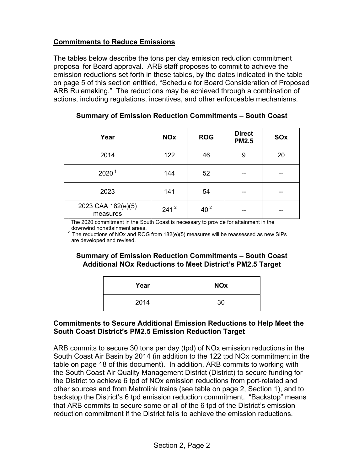## **Commitments to Reduce Emissions**

The tables below describe the tons per day emission reduction commitment proposal for Board approval. ARB staff proposes to commit to achieve the emission reductions set forth in these tables, by the dates indicated in the table on page 5 of this section entitled, "Schedule for Board Consideration of Proposed ARB Rulemaking." The reductions may be achieved through a combination of actions, including regulations, incentives, and other enforceable mechanisms.

| Year                           | <b>NOx</b>       | <b>ROG</b>      | <b>Direct</b><br><b>PM2.5</b> | SOx |
|--------------------------------|------------------|-----------------|-------------------------------|-----|
| 2014                           | 122              | 46              | 9                             | 20  |
| 2020 <sup>1</sup>              | 144              | 52              |                               |     |
| 2023                           | 141              | 54              |                               |     |
| 2023 CAA 182(e)(5)<br>measures | 241 <sup>2</sup> | 40 <sup>2</sup> |                               |     |

#### **Summary of Emission Reduction Commitments – South Coast**

 $1$ <sup>T</sup> The 2020 commitment in the South Coast is necessary to provide for attainment in the

downwind nonattainment areas.<br><sup>2</sup> The reductions of NOx and ROG from 182(e)(5) measures will be reassessed as new SIPs are developed and revised.

## **Summary of Emission Reduction Commitments – South Coast Additional NOx Reductions to Meet District's PM2.5 Target**

| Year | <b>NOx</b> |
|------|------------|
| 2014 | 30         |

#### **Commitments to Secure Additional Emission Reductions to Help Meet the South Coast District's PM2.5 Emission Reduction Target**

ARB commits to secure 30 tons per day (tpd) of NOx emission reductions in the South Coast Air Basin by 2014 (in addition to the 122 tpd NOx commitment in the table on page 18 of this document). In addition, ARB commits to working with the South Coast Air Quality Management District (District) to secure funding for the District to achieve 6 tpd of NOx emission reductions from port-related and other sources and from Metrolink trains (see table on page 2, Section 1), and to backstop the District's 6 tpd emission reduction commitment. "Backstop" means that ARB commits to secure some or all of the 6 tpd of the District's emission reduction commitment if the District fails to achieve the emission reductions.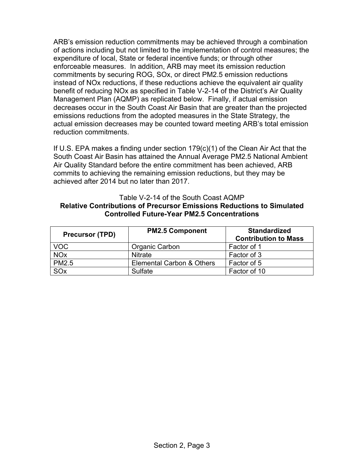ARB's emission reduction commitments may be achieved through a combination of actions including but not limited to the implementation of control measures; the expenditure of local, State or federal incentive funds; or through other enforceable measures. In addition, ARB may meet its emission reduction commitments by securing ROG, SOx, or direct PM2.5 emission reductions instead of NOx reductions, if these reductions achieve the equivalent air quality benefit of reducing NOx as specified in Table V-2-14 of the District's Air Quality Management Plan (AQMP) as replicated below. Finally, if actual emission decreases occur in the South Coast Air Basin that are greater than the projected emissions reductions from the adopted measures in the State Strategy, the actual emission decreases may be counted toward meeting ARB's total emission reduction commitments.

If U.S. EPA makes a finding under section 179(c)(1) of the Clean Air Act that the South Coast Air Basin has attained the Annual Average PM2.5 National Ambient Air Quality Standard before the entire commitment has been achieved, ARB commits to achieving the remaining emission reductions, but they may be achieved after 2014 but no later than 2017.

#### Table V-2-14 of the South Coast AQMP **Relative Contributions of Precursor Emissions Reductions to Simulated Controlled Future-Year PM2.5 Concentrations**

| <b>Precursor (TPD)</b> | <b>PM2.5 Component</b>    | <b>Standardized</b><br><b>Contribution to Mass</b> |
|------------------------|---------------------------|----------------------------------------------------|
| <b>VOC</b>             | Organic Carbon            | Factor of 1                                        |
| <b>NO<sub>x</sub></b>  | <b>Nitrate</b>            | Factor of 3                                        |
| <b>PM2.5</b>           | Elemental Carbon & Others | Factor of 5                                        |
| SOx                    | Sulfate                   | Factor of 10                                       |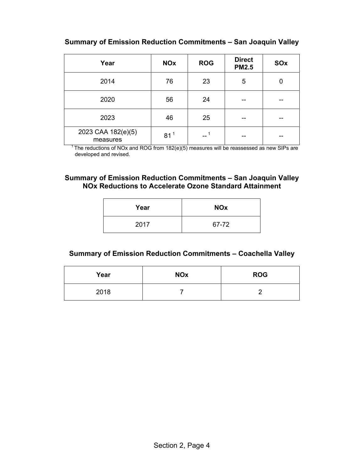**Summary of Emission Reduction Commitments – San Joaquin Valley** 

| Year                           | <b>NOx</b>      | <b>ROG</b> | <b>Direct</b><br><b>PM2.5</b> | SOx |
|--------------------------------|-----------------|------------|-------------------------------|-----|
| 2014                           | 76              | 23         | 5                             | 0   |
| 2020                           | 56              | 24         |                               |     |
| 2023                           | 46              | 25         |                               |     |
| 2023 CAA 182(e)(5)<br>measures | 81 <sup>1</sup> |            |                               |     |

 $1$ <sup>1</sup> The reductions of NOx and ROG from 182(e)(5) measures will be reassessed as new SIPs are developed and revised.

#### **Summary of Emission Reduction Commitments – San Joaquin Valley NOx Reductions to Accelerate Ozone Standard Attainment**

| Year | <b>NOx</b> |
|------|------------|
| 2017 | 67-72      |

## **Summary of Emission Reduction Commitments – Coachella Valley**

| Year | <b>NOx</b> | <b>ROG</b> |
|------|------------|------------|
| 2018 |            |            |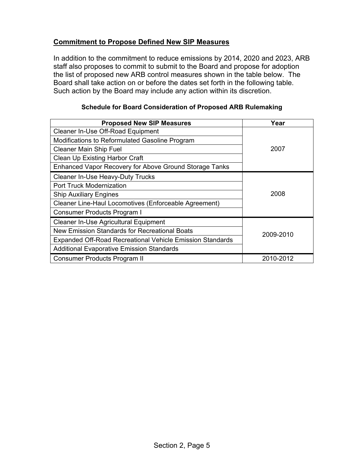## **Commitment to Propose Defined New SIP Measures**

In addition to the commitment to reduce emissions by 2014, 2020 and 2023, ARB staff also proposes to commit to submit to the Board and propose for adoption the list of proposed new ARB control measures shown in the table below. The Board shall take action on or before the dates set forth in the following table. Such action by the Board may include any action within its discretion.

| <b>Proposed New SIP Measures</b>                                 | Year      |
|------------------------------------------------------------------|-----------|
| Cleaner In-Use Off-Road Equipment                                |           |
| Modifications to Reformulated Gasoline Program                   |           |
| <b>Cleaner Main Ship Fuel</b>                                    | 2007      |
| Clean Up Existing Harbor Craft                                   |           |
| Enhanced Vapor Recovery for Above Ground Storage Tanks           |           |
| <b>Cleaner In-Use Heavy-Duty Trucks</b>                          |           |
| <b>Port Truck Modernization</b>                                  | 2008      |
| <b>Ship Auxiliary Engines</b>                                    |           |
| <b>Cleaner Line-Haul Locomotives (Enforceable Agreement)</b>     |           |
| Consumer Products Program I                                      |           |
| Cleaner In-Use Agricultural Equipment                            |           |
| New Emission Standards for Recreational Boats                    | 2009-2010 |
| <b>Expanded Off-Road Recreational Vehicle Emission Standards</b> |           |
| <b>Additional Evaporative Emission Standards</b>                 |           |
| <b>Consumer Products Program II</b>                              | 2010-2012 |

#### **Schedule for Board Consideration of Proposed ARB Rulemaking**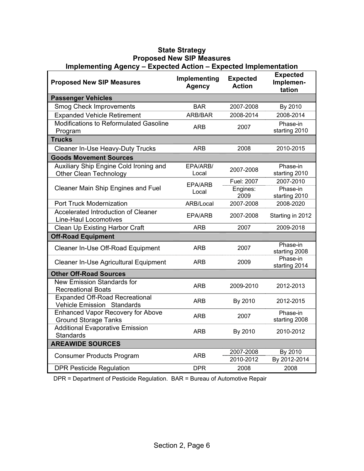| <b>Proposed New SIP Measures</b>                                           | Implementing<br><b>Agency</b> | <b>Expected</b><br><b>Action</b> | <b>Expected</b><br>Implemen-<br>tation |
|----------------------------------------------------------------------------|-------------------------------|----------------------------------|----------------------------------------|
| <b>Passenger Vehicles</b>                                                  |                               |                                  |                                        |
| <b>Smog Check Improvements</b>                                             | <b>BAR</b>                    | 2007-2008                        | By 2010                                |
| <b>Expanded Vehicle Retirement</b>                                         | ARB/BAR                       | 2008-2014                        | 2008-2014                              |
| Modifications to Reformulated Gasoline<br>Program                          | ARB                           | 2007                             | Phase-in<br>starting 2010              |
| <b>Trucks</b>                                                              |                               |                                  |                                        |
| <b>Cleaner In-Use Heavy-Duty Trucks</b>                                    | <b>ARB</b>                    | 2008                             | 2010-2015                              |
| <b>Goods Movement Sources</b>                                              |                               |                                  |                                        |
| Auxiliary Ship Engine Cold Ironing and<br><b>Other Clean Technology</b>    | EPA/ARB/<br>Local             | 2007-2008                        | Phase-in<br>starting 2010              |
|                                                                            | EPA/ARB                       | Fuel: 2007                       | 2007-2010                              |
| Cleaner Main Ship Engines and Fuel                                         | Local                         | Engines:<br>2009                 | Phase-in<br>starting 2010              |
| <b>Port Truck Modernization</b>                                            | ARB/Local                     | 2007-2008                        | 2008-2020                              |
| Accelerated Introduction of Cleaner<br><b>Line-Haul Locomotives</b>        | <b>EPA/ARB</b>                | 2007-2008                        | Starting in 2012                       |
| Clean Up Existing Harbor Craft                                             | <b>ARB</b>                    | 2007                             | 2009-2018                              |
| <b>Off-Road Equipment</b>                                                  |                               |                                  |                                        |
| Cleaner In-Use Off-Road Equipment                                          | ARB                           | 2007                             | Phase-in<br>starting 2008              |
| Cleaner In-Use Agricultural Equipment                                      | <b>ARB</b>                    | 2009                             | Phase-in<br>starting 2014              |
| <b>Other Off-Road Sources</b>                                              |                               |                                  |                                        |
| New Emission Standards for<br><b>Recreational Boats</b>                    | <b>ARB</b>                    | 2009-2010                        | 2012-2013                              |
| <b>Expanded Off-Road Recreational</b><br><b>Vehicle Emission Standards</b> | <b>ARB</b>                    | By 2010                          | 2012-2015                              |
| <b>Enhanced Vapor Recovery for Above</b><br><b>Ground Storage Tanks</b>    | <b>ARB</b>                    | 2007                             | Phase-in<br>starting 2008              |
| <b>Additional Evaporative Emission</b><br><b>Standards</b>                 | ARB                           | By 2010                          | 2010-2012                              |
| <b>AREAWIDE SOURCES</b>                                                    |                               |                                  |                                        |
| <b>Consumer Products Program</b>                                           | ARB                           | 2007-2008<br>2010-2012           | By 2010<br>By 2012-2014                |
| <b>DPR Pesticide Regulation</b>                                            | <b>DPR</b>                    | 2008                             | 2008                                   |

#### **State Strategy Proposed New SIP Measures Implementing Agency – Expected Action – Expected Implementation**

DPR = Department of Pesticide Regulation. BAR = Bureau of Automotive Repair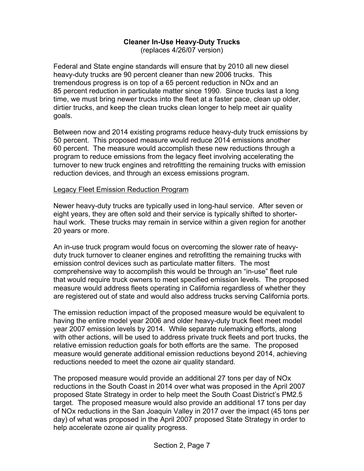## **Cleaner In-Use Heavy-Duty Trucks**

(replaces 4/26/07 version)

Federal and State engine standards will ensure that by 2010 all new diesel heavy-duty trucks are 90 percent cleaner than new 2006 trucks. This tremendous progress is on top of a 65 percent reduction in NOx and an 85 percent reduction in particulate matter since 1990. Since trucks last a long time, we must bring newer trucks into the fleet at a faster pace, clean up older, dirtier trucks, and keep the clean trucks clean longer to help meet air quality goals.

Between now and 2014 existing programs reduce heavy-duty truck emissions by 50 percent. This proposed measure would reduce 2014 emissions another 60 percent. The measure would accomplish these new reductions through a program to reduce emissions from the legacy fleet involving accelerating the turnover to new truck engines and retrofitting the remaining trucks with emission reduction devices, and through an excess emissions program.

#### Legacy Fleet Emission Reduction Program

Newer heavy-duty trucks are typically used in long-haul service. After seven or eight years, they are often sold and their service is typically shifted to shorterhaul work. These trucks may remain in service within a given region for another 20 years or more.

An in-use truck program would focus on overcoming the slower rate of heavyduty truck turnover to cleaner engines and retrofitting the remaining trucks with emission control devices such as particulate matter filters. The most comprehensive way to accomplish this would be through an "in-use" fleet rule that would require truck owners to meet specified emission levels. The proposed measure would address fleets operating in California regardless of whether they are registered out of state and would also address trucks serving California ports.

The emission reduction impact of the proposed measure would be equivalent to having the entire model year 2006 and older heavy-duty truck fleet meet model year 2007 emission levels by 2014. While separate rulemaking efforts, along with other actions, will be used to address private truck fleets and port trucks, the relative emission reduction goals for both efforts are the same. The proposed measure would generate additional emission reductions beyond 2014, achieving reductions needed to meet the ozone air quality standard.

The proposed measure would provide an additional 27 tons per day of NOx reductions in the South Coast in 2014 over what was proposed in the April 2007 proposed State Strategy in order to help meet the South Coast District's PM2.5 target. The proposed measure would also provide an additional 17 tons per day of NOx reductions in the San Joaquin Valley in 2017 over the impact (45 tons per day) of what was proposed in the April 2007 proposed State Strategy in order to help accelerate ozone air quality progress.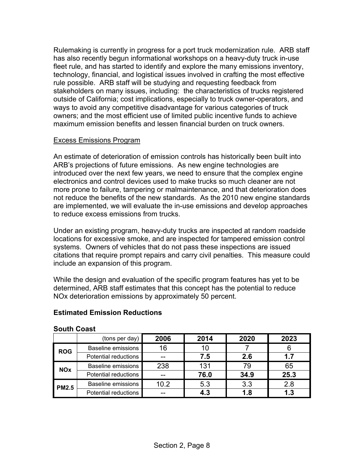Rulemaking is currently in progress for a port truck modernization rule. ARB staff has also recently begun informational workshops on a heavy-duty truck in-use fleet rule, and has started to identify and explore the many emissions inventory, technology, financial, and logistical issues involved in crafting the most effective rule possible. ARB staff will be studying and requesting feedback from stakeholders on many issues, including: the characteristics of trucks registered outside of California; cost implications, especially to truck owner-operators, and ways to avoid any competitive disadvantage for various categories of truck owners; and the most efficient use of limited public incentive funds to achieve maximum emission benefits and lessen financial burden on truck owners.

#### Excess Emissions Program

An estimate of deterioration of emission controls has historically been built into ARB's projections of future emissions. As new engine technologies are introduced over the next few years, we need to ensure that the complex engine electronics and control devices used to make trucks so much cleaner are not more prone to failure, tampering or malmaintenance, and that deterioration does not reduce the benefits of the new standards. As the 2010 new engine standards are implemented, we will evaluate the in-use emissions and develop approaches to reduce excess emissions from trucks.

Under an existing program, heavy-duty trucks are inspected at random roadside locations for excessive smoke, and are inspected for tampered emission control systems. Owners of vehicles that do not pass these inspections are issued citations that require prompt repairs and carry civil penalties. This measure could include an expansion of this program.

While the design and evaluation of the specific program features has yet to be determined, ARB staff estimates that this concept has the potential to reduce NOx deterioration emissions by approximately 50 percent.

## **Estimated Emission Reductions**

|              | (tons per day)            | 2006 | 2014 | 2020 | 2023 |
|--------------|---------------------------|------|------|------|------|
| <b>ROG</b>   | <b>Baseline emissions</b> | 16   | 10   |      |      |
|              | Potential reductions      | --   | 7.5  | 2.6  | 1.7  |
| <b>NOx</b>   | <b>Baseline emissions</b> | 238  | 131  | 79   | 65   |
|              | Potential reductions      |      | 76.0 | 34.9 | 25.3 |
| <b>PM2.5</b> | <b>Baseline emissions</b> | 10.2 | 5.3  | 3.3  | 2.8  |
|              | Potential reductions      | --   | 4.3  | 1.8  | 1.3  |

#### **South Coast**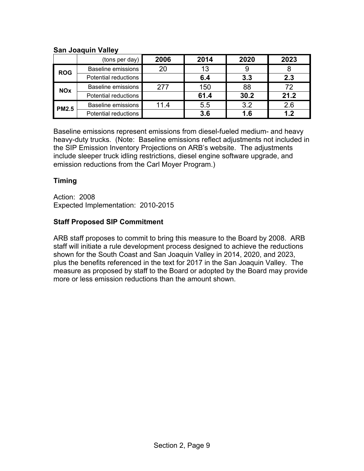#### **San Joaquin Valley**

|              | (tons per day) $ $          | 2006 | 2014 | 2020 | 2023 |
|--------------|-----------------------------|------|------|------|------|
| <b>ROG</b>   | <b>Baseline emissions</b>   | 20   | 13   |      |      |
|              | Potential reductions        |      | 6.4  | 3.3  | 2.3  |
| <b>NOx</b>   | <b>Baseline emissions</b>   | 277  | 150  | 88   | 72   |
|              | <b>Potential reductions</b> |      | 61.4 | 30.2 | 21.2 |
| <b>PM2.5</b> | <b>Baseline emissions</b>   | 11.4 | 5.5  | 3.2  | 2.6  |
|              | Potential reductions        |      | 3.6  | 1.6  | 1.2  |

Baseline emissions represent emissions from diesel-fueled medium- and heavy heavy-duty trucks. (Note: Baseline emissions reflect adjustments not included in the SIP Emission Inventory Projections on ARB's website. The adjustments include sleeper truck idling restrictions, diesel engine software upgrade, and emission reductions from the Carl Moyer Program.)

## **Timing**

Action: 2008 Expected Implementation: 2010-2015

## **Staff Proposed SIP Commitment**

ARB staff proposes to commit to bring this measure to the Board by 2008. ARB staff will initiate a rule development process designed to achieve the reductions shown for the South Coast and San Joaquin Valley in 2014, 2020, and 2023, plus the benefits referenced in the text for 2017 in the San Joaquin Valley. The measure as proposed by staff to the Board or adopted by the Board may provide more or less emission reductions than the amount shown.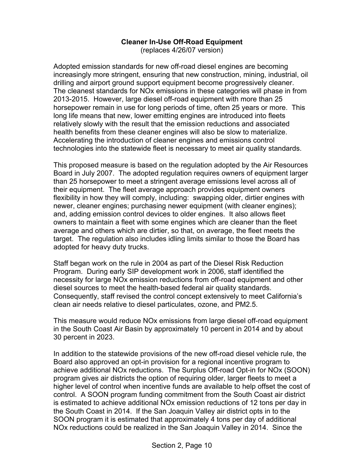## **Cleaner In-Use Off-Road Equipment**

(replaces 4/26/07 version)

Adopted emission standards for new off-road diesel engines are becoming increasingly more stringent, ensuring that new construction, mining, industrial, oil drilling and airport ground support equipment become progressively cleaner. The cleanest standards for NOx emissions in these categories will phase in from 2013-2015. However, large diesel off-road equipment with more than 25 horsepower remain in use for long periods of time, often 25 years or more. This long life means that new, lower emitting engines are introduced into fleets relatively slowly with the result that the emission reductions and associated health benefits from these cleaner engines will also be slow to materialize. Accelerating the introduction of cleaner engines and emissions control technologies into the statewide fleet is necessary to meet air quality standards.

This proposed measure is based on the regulation adopted by the Air Resources Board in July 2007. The adopted regulation requires owners of equipment larger than 25 horsepower to meet a stringent average emissions level across all of their equipment. The fleet average approach provides equipment owners flexibility in how they will comply, including: swapping older, dirtier engines with newer, cleaner engines; purchasing newer equipment (with cleaner engines); and, adding emission control devices to older engines. It also allows fleet owners to maintain a fleet with some engines which are cleaner than the fleet average and others which are dirtier, so that, on average, the fleet meets the target. The regulation also includes idling limits similar to those the Board has adopted for heavy duty trucks.

Staff began work on the rule in 2004 as part of the Diesel Risk Reduction Program. During early SIP development work in 2006, staff identified the necessity for large NOx emission reductions from off-road equipment and other diesel sources to meet the health-based federal air quality standards. Consequently, staff revised the control concept extensively to meet California's clean air needs relative to diesel particulates, ozone, and PM2.5.

This measure would reduce NOx emissions from large diesel off-road equipment in the South Coast Air Basin by approximately 10 percent in 2014 and by about 30 percent in 2023.

In addition to the statewide provisions of the new off-road diesel vehicle rule, the Board also approved an opt-in provision for a regional incentive program to achieve additional NOx reductions. The Surplus Off-road Opt-in for NOx (SOON) program gives air districts the option of requiring older, larger fleets to meet a higher level of control when incentive funds are available to help offset the cost of control. A SOON program funding commitment from the South Coast air district is estimated to achieve additional NOx emission reductions of 12 tons per day in the South Coast in 2014. If the San Joaquin Valley air district opts in to the SOON program it is estimated that approximately 4 tons per day of additional NOx reductions could be realized in the San Joaquin Valley in 2014. Since the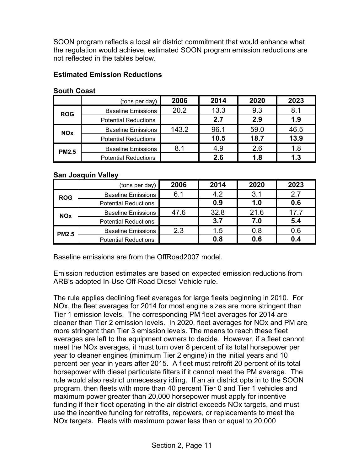SOON program reflects a local air district commitment that would enhance what the regulation would achieve, estimated SOON program emission reductions are not reflected in the tables below.

### **Estimated Emission Reductions**

|              | (tons per day)              | 2006  | 2014 | 2020 | 2023 |
|--------------|-----------------------------|-------|------|------|------|
| <b>ROG</b>   | <b>Baseline Emissions</b>   | 20.2  | 13.3 | 9.3  | 8.1  |
|              | <b>Potential Reductions</b> |       | 2.7  | 2.9  | 1.9  |
| <b>NOx</b>   | <b>Baseline Emissions</b>   | 143.2 | 96.1 | 59.0 | 46.5 |
|              | <b>Potential Reductions</b> |       | 10.5 | 18.7 | 13.9 |
| <b>PM2.5</b> | <b>Baseline Emissions</b>   | 8.1   | 4.9  | 2.6  | 1.8  |
|              | <b>Potential Reductions</b> |       | 2.6  | 1.8  | 1.3  |

#### **South Coast**

#### **San Joaquin Valley**

|              | (tons per day)              | 2006 | 2014 | 2020 | 2023 |
|--------------|-----------------------------|------|------|------|------|
| <b>ROG</b>   | <b>Baseline Emissions</b>   | 6.1  | 4.2  | 3.1  | 2.7  |
|              | <b>Potential Reductions</b> |      | 0.9  | 1.0  | 0.6  |
| <b>NOx</b>   | <b>Baseline Emissions</b>   | 47.6 | 32.8 | 21.6 | 17.7 |
|              | <b>Potential Reductions</b> |      | 3.7  | 7.0  | 5.4  |
| <b>PM2.5</b> | <b>Baseline Emissions</b>   | 2.3  | 1.5  | 0.8  | 0.6  |
|              | <b>Potential Reductions</b> |      | 0.8  | 0.6  | 0.4  |

Baseline emissions are from the OffRoad2007 model.

Emission reduction estimates are based on expected emission reductions from ARB's adopted In-Use Off-Road Diesel Vehicle rule.

The rule applies declining fleet averages for large fleets beginning in 2010. For NOx, the fleet averages for 2014 for most engine sizes are more stringent than Tier 1 emission levels. The corresponding PM fleet averages for 2014 are cleaner than Tier 2 emission levels. In 2020, fleet averages for NOx and PM are more stringent than Tier 3 emission levels. The means to reach these fleet averages are left to the equipment owners to decide. However, if a fleet cannot meet the NOx averages, it must turn over 8 percent of its total horsepower per year to cleaner engines (minimum Tier 2 engine) in the initial years and 10 percent per year in years after 2015. A fleet must retrofit 20 percent of its total horsepower with diesel particulate filters if it cannot meet the PM average. The rule would also restrict unnecessary idling. If an air district opts in to the SOON program, then fleets with more than 40 percent Tier 0 and Tier 1 vehicles and maximum power greater than 20,000 horsepower must apply for incentive funding if their fleet operating in the air district exceeds NOx targets, and must use the incentive funding for retrofits, repowers, or replacements to meet the NOx targets. Fleets with maximum power less than or equal to 20,000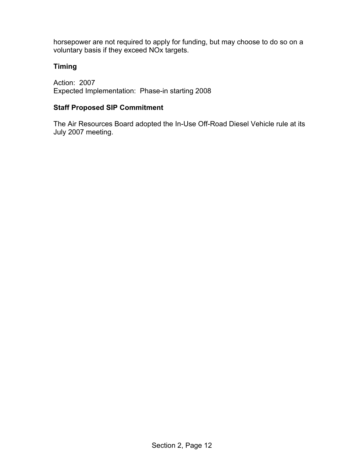horsepower are not required to apply for funding, but may choose to do so on a voluntary basis if they exceed NOx targets.

## **Timing**

Action: 2007 Expected Implementation: Phase-in starting 2008

## **Staff Proposed SIP Commitment**

The Air Resources Board adopted the In-Use Off-Road Diesel Vehicle rule at its July 2007 meeting.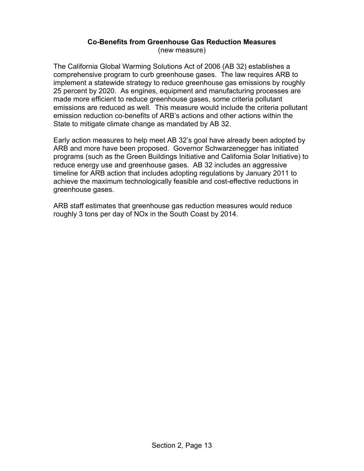#### **Co-Benefits from Greenhouse Gas Reduction Measures**  (new measure)

The California Global Warming Solutions Act of 2006 (AB 32) establishes a comprehensive program to curb greenhouse gases. The law requires ARB to implement a statewide strategy to reduce greenhouse gas emissions by roughly 25 percent by 2020. As engines, equipment and manufacturing processes are made more efficient to reduce greenhouse gases, some criteria pollutant emissions are reduced as well. This measure would include the criteria pollutant emission reduction co-benefits of ARB's actions and other actions within the State to mitigate climate change as mandated by AB 32.

Early action measures to help meet AB 32's goal have already been adopted by ARB and more have been proposed. Governor Schwarzenegger has initiated programs (such as the Green Buildings Initiative and California Solar Initiative) to reduce energy use and greenhouse gases. AB 32 includes an aggressive timeline for ARB action that includes adopting regulations by January 2011 to achieve the maximum technologically feasible and cost-effective reductions in greenhouse gases.

ARB staff estimates that greenhouse gas reduction measures would reduce roughly 3 tons per day of NOx in the South Coast by 2014.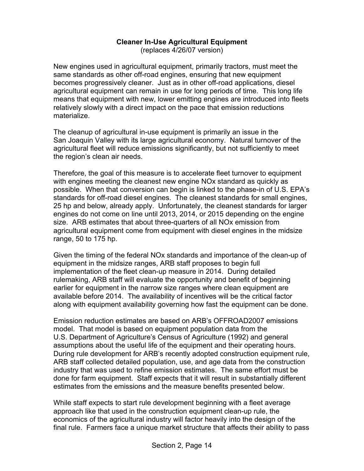## **Cleaner In-Use Agricultural Equipment**

(replaces 4/26/07 version)

New engines used in agricultural equipment, primarily tractors, must meet the same standards as other off-road engines, ensuring that new equipment becomes progressively cleaner. Just as in other off-road applications, diesel agricultural equipment can remain in use for long periods of time. This long life means that equipment with new, lower emitting engines are introduced into fleets relatively slowly with a direct impact on the pace that emission reductions materialize.

The cleanup of agricultural in-use equipment is primarily an issue in the San Joaquin Valley with its large agricultural economy. Natural turnover of the agricultural fleet will reduce emissions significantly, but not sufficiently to meet the region's clean air needs.

Therefore, the goal of this measure is to accelerate fleet turnover to equipment with engines meeting the cleanest new engine NOx standard as quickly as possible. When that conversion can begin is linked to the phase-in of U.S. EPA's standards for off-road diesel engines. The cleanest standards for small engines, 25 hp and below, already apply. Unfortunately, the cleanest standards for larger engines do not come on line until 2013, 2014, or 2015 depending on the engine size. ARB estimates that about three-quarters of all NOx emission from agricultural equipment come from equipment with diesel engines in the midsize range, 50 to 175 hp.

Given the timing of the federal NOx standards and importance of the clean-up of equipment in the midsize ranges, ARB staff proposes to begin full implementation of the fleet clean-up measure in 2014. During detailed rulemaking, ARB staff will evaluate the opportunity and benefit of beginning earlier for equipment in the narrow size ranges where clean equipment are available before 2014. The availability of incentives will be the critical factor along with equipment availability governing how fast the equipment can be done.

Emission reduction estimates are based on ARB's OFFROAD2007 emissions model. That model is based on equipment population data from the U.S. Department of Agriculture's Census of Agriculture (1992) and general assumptions about the useful life of the equipment and their operating hours. During rule development for ARB's recently adopted construction equipment rule, ARB staff collected detailed population, use, and age data from the construction industry that was used to refine emission estimates. The same effort must be done for farm equipment. Staff expects that it will result in substantially different estimates from the emissions and the measure benefits presented below.

While staff expects to start rule development beginning with a fleet average approach like that used in the construction equipment clean-up rule, the economics of the agricultural industry will factor heavily into the design of the final rule. Farmers face a unique market structure that affects their ability to pass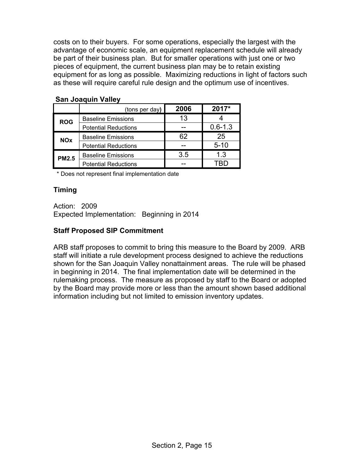costs on to their buyers. For some operations, especially the largest with the advantage of economic scale, an equipment replacement schedule will already be part of their business plan. But for smaller operations with just one or two pieces of equipment, the current business plan may be to retain existing equipment for as long as possible. Maximizing reductions in light of factors such as these will require careful rule design and the optimum use of incentives.

|              | (tons per day)              | 2006 | 2017*       |  |  |
|--------------|-----------------------------|------|-------------|--|--|
| <b>ROG</b>   | <b>Baseline Emissions</b>   | 13   |             |  |  |
|              | <b>Potential Reductions</b> |      | $0.6 - 1.3$ |  |  |
| <b>NOx</b>   | <b>Baseline Emissions</b>   | 62   | 25          |  |  |
|              | <b>Potential Reductions</b> |      | $5 - 10$    |  |  |
| <b>PM2.5</b> | <b>Baseline Emissions</b>   | 3.5  | 1.3         |  |  |
|              | <b>Potential Reductions</b> |      |             |  |  |

#### **San Joaquin Valley**

\* Does not represent final implementation date

#### **Timing**

Action: 2009 Expected Implementation: Beginning in 2014

#### **Staff Proposed SIP Commitment**

ARB staff proposes to commit to bring this measure to the Board by 2009. ARB staff will initiate a rule development process designed to achieve the reductions shown for the San Joaquin Valley nonattainment areas. The rule will be phased in beginning in 2014. The final implementation date will be determined in the rulemaking process. The measure as proposed by staff to the Board or adopted by the Board may provide more or less than the amount shown based additional information including but not limited to emission inventory updates.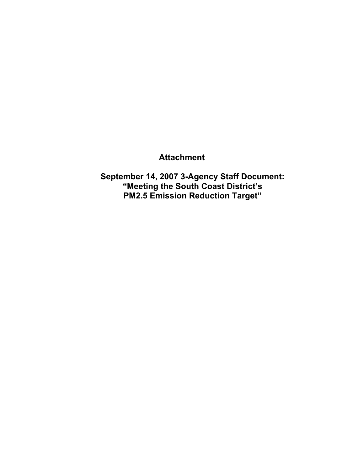## **Attachment**

**September 14, 2007 3-Agency Staff Document: "Meeting the South Coast District's PM2.5 Emission Reduction Target"**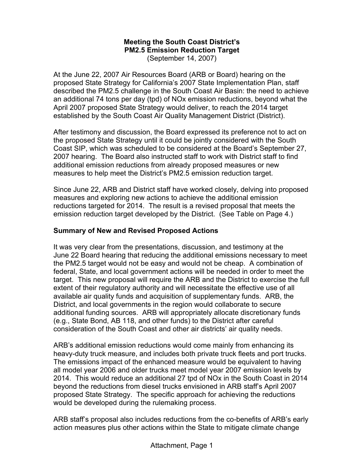# **Meeting the South Coast District's PM2.5 Emission Reduction Target**

(September 14, 2007)

At the June 22, 2007 Air Resources Board (ARB or Board) hearing on the proposed State Strategy for California's 2007 State Implementation Plan, staff described the PM2.5 challenge in the South Coast Air Basin: the need to achieve an additional 74 tons per day (tpd) of NOx emission reductions, beyond what the April 2007 proposed State Strategy would deliver, to reach the 2014 target established by the South Coast Air Quality Management District (District).

After testimony and discussion, the Board expressed its preference not to act on the proposed State Strategy until it could be jointly considered with the South Coast SIP, which was scheduled to be considered at the Board's September 27, 2007 hearing. The Board also instructed staff to work with District staff to find additional emission reductions from already proposed measures or new measures to help meet the District's PM2.5 emission reduction target.

Since June 22, ARB and District staff have worked closely, delving into proposed measures and exploring new actions to achieve the additional emission reductions targeted for 2014. The result is a revised proposal that meets the emission reduction target developed by the District. (See Table on Page 4.)

## **Summary of New and Revised Proposed Actions**

It was very clear from the presentations, discussion, and testimony at the June 22 Board hearing that reducing the additional emissions necessary to meet the PM2.5 target would not be easy and would not be cheap. A combination of federal, State, and local government actions will be needed in order to meet the target. This new proposal will require the ARB and the District to exercise the full extent of their regulatory authority and will necessitate the effective use of all available air quality funds and acquisition of supplementary funds. ARB, the District, and local governments in the region would collaborate to secure additional funding sources. ARB will appropriately allocate discretionary funds (e.g., State Bond, AB 118, and other funds) to the District after careful consideration of the South Coast and other air districts' air quality needs.

ARB's additional emission reductions would come mainly from enhancing its heavy-duty truck measure, and includes both private truck fleets and port trucks. The emissions impact of the enhanced measure would be equivalent to having all model year 2006 and older trucks meet model year 2007 emission levels by 2014. This would reduce an additional 27 tpd of NOx in the South Coast in 2014 beyond the reductions from diesel trucks envisioned in ARB staff's April 2007 proposed State Strategy. The specific approach for achieving the reductions would be developed during the rulemaking process.

ARB staff's proposal also includes reductions from the co-benefits of ARB's early action measures plus other actions within the State to mitigate climate change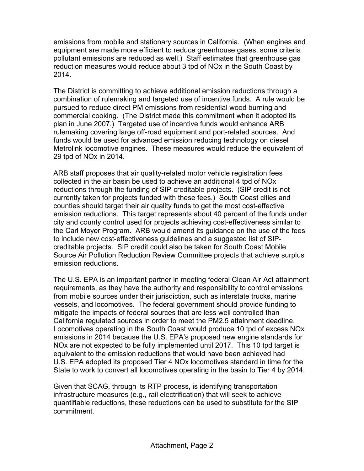emissions from mobile and stationary sources in California. (When engines and equipment are made more efficient to reduce greenhouse gases, some criteria pollutant emissions are reduced as well.) Staff estimates that greenhouse gas reduction measures would reduce about 3 tpd of NOx in the South Coast by 2014.

29 tod of NO<sub>x</sub> in 2014. The District is committing to achieve additional emission reductions through a combination of rulemaking and targeted use of incentive funds. A rule would be pursued to reduce direct PM emissions from residential wood burning and commercial cooking. (The District made this commitment when it adopted its plan in June 2007.) Targeted use of incentive funds would enhance ARB rulemaking covering large off-road equipment and port-related sources. And funds would be used for advanced emission reducing technology on diesel Metrolink locomotive engines. These measures would reduce the equivalent of

ARB staff proposes that air quality-related motor vehicle registration fees collected in the air basin be used to achieve an additional 4 tpd of NOx reductions through the funding of SIP-creditable projects. (SIP credit is not currently taken for projects funded with these fees.) South Coast cities and counties should target their air quality funds to get the most cost-effective emission reductions. This target represents about 40 percent of the funds under city and county control used for projects achieving cost-effectiveness similar to the Carl Moyer Program. ARB would amend its guidance on the use of the fees to include new cost-effectiveness guidelines and a suggested list of SIPcreditable projects. SIP credit could also be taken for South Coast Mobile Source Air Pollution Reduction Review Committee projects that achieve surplus emission reductions.

The U.S. EPA is an important partner in meeting federal Clean Air Act attainment requirements, as they have the authority and responsibility to control emissions from mobile sources under their jurisdiction, such as interstate trucks, marine vessels, and locomotives. The federal government should provide funding to mitigate the impacts of federal sources that are less well controlled than California regulated sources in order to meet the PM2.5 attainment deadline. Locomotives operating in the South Coast would produce 10 tpd of excess NOx emissions in 2014 because the U.S. EPA's proposed new engine standards for NOx are not expected to be fully implemented until 2017. This 10 tpd target is equivalent to the emission reductions that would have been achieved had U.S. EPA adopted its proposed Tier 4 NOx locomotives standard in time for the State to work to convert all locomotives operating in the basin to Tier 4 by 2014.

Given that SCAG, through its RTP process, is identifying transportation infrastructure measures (e.g., rail electrification) that will seek to achieve quantifiable reductions, these reductions can be used to substitute for the SIP commitment.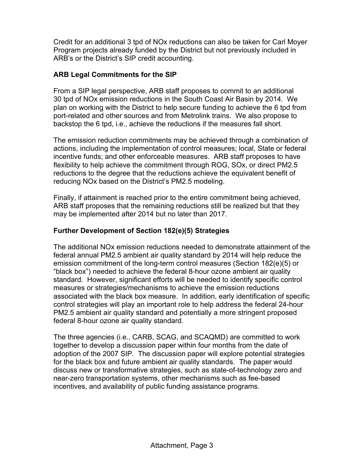Credit for an additional 3 tpd of NOx reductions can also be taken for Carl Moyer Program projects already funded by the District but not previously included in ARB's or the District's SIP credit accounting.

## **ARB Legal Commitments for the SIP**

From a SIP legal perspective, ARB staff proposes to commit to an additional 30 tpd of NOx emission reductions in the South Coast Air Basin by 2014. We plan on working with the District to help secure funding to achieve the 6 tpd from port-related and other sources and from Metrolink trains. We also propose to backstop the 6 tpd, i.e., achieve the reductions if the measures fall short.

The emission reduction commitments may be achieved through a combination of actions, including the implementation of control measures; local, State or federal incentive funds; and other enforceable measures. ARB staff proposes to have flexibility to help achieve the commitment through ROG, SOx, or direct PM2.5 reductions to the degree that the reductions achieve the equivalent benefit of reducing NOx based on the District's PM2.5 modeling.

Finally, if attainment is reached prior to the entire commitment being achieved, ARB staff proposes that the remaining reductions still be realized but that they may be implemented after 2014 but no later than 2017.

## **Further Development of Section 182(e)(5) Strategies**

The additional NOx emission reductions needed to demonstrate attainment of the federal annual PM2.5 ambient air quality standard by 2014 will help reduce the emission commitment of the long-term control measures (Section 182(e)(5) or "black box") needed to achieve the federal 8-hour ozone ambient air quality standard. However, significant efforts will be needed to identify specific control measures or strategies/mechanisms to achieve the emission reductions associated with the black box measure. In addition, early identification of specific control strategies will play an important role to help address the federal 24-hour PM2.5 ambient air quality standard and potentially a more stringent proposed federal 8-hour ozone air quality standard.

The three agencies (i.e., CARB, SCAG, and SCAQMD) are committed to work together to develop a discussion paper within four months from the date of adoption of the 2007 SIP. The discussion paper will explore potential strategies for the black box and future ambient air quality standards. The paper would discuss new or transformative strategies, such as state-of-technology zero and near-zero transportation systems, other mechanisms such as fee-based incentives, and availability of public funding assistance programs.